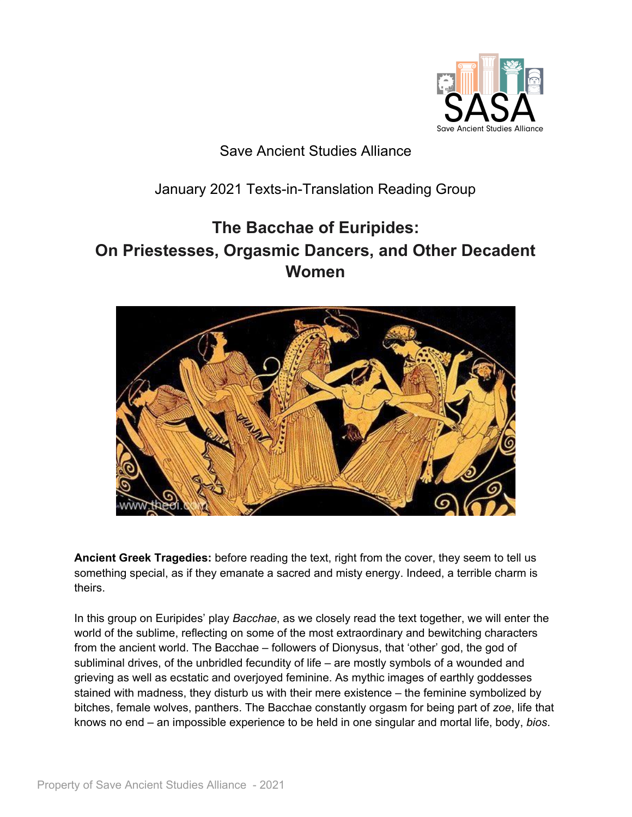

## Save Ancient Studies Alliance

# January 2021 Texts-in-Translation Reading Group

# **The Bacchae of Euripides: On Priestesses, Orgasmic Dancers, and Other Decadent Women**



**Ancient Greek Tragedies:** before reading the text, right from the cover, they seem to tell us something special, as if they emanate a sacred and misty energy. Indeed, a terrible charm is theirs.

In this group on Euripides' play *Bacchae*, as we closely read the text together, we will enter the world of the sublime, reflecting on some of the most extraordinary and bewitching characters from the ancient world. The Bacchae – followers of Dionysus, that 'other' god, the god of subliminal drives, of the unbridled fecundity of life – are mostly symbols of a wounded and grieving as well as ecstatic and overjoyed feminine. As mythic images of earthly goddesses stained with madness, they disturb us with their mere existence – the feminine symbolized by bitches, female wolves, panthers. The Bacchae constantly orgasm for being part of *zoe*, life that knows no end – an impossible experience to be held in one singular and mortal life, body, *bios*.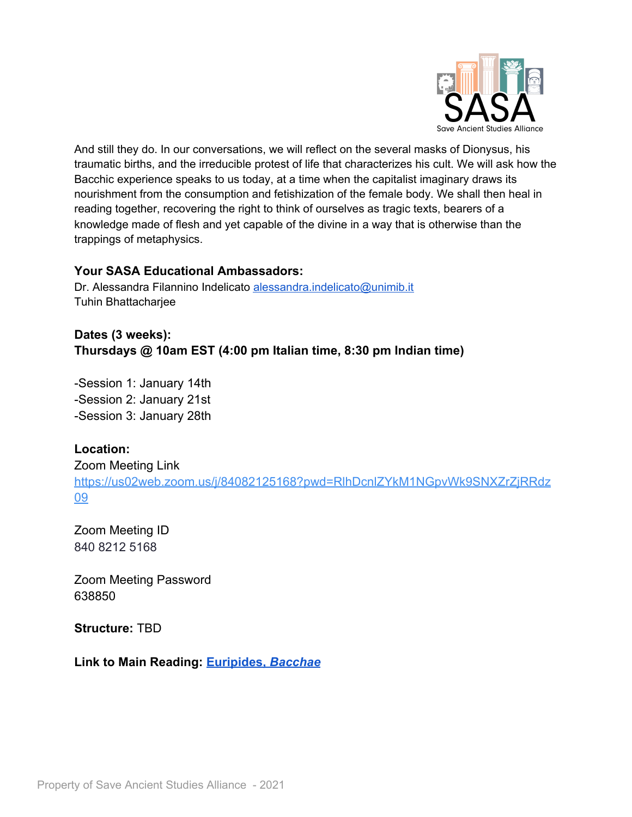

And still they do. In our conversations, we will reflect on the several masks of Dionysus, his traumatic births, and the irreducible protest of life that characterizes his cult. We will ask how the Bacchic experience speaks to us today, at a time when the capitalist imaginary draws its nourishment from the consumption and fetishization of the female body. We shall then heal in reading together, recovering the right to think of ourselves as tragic texts, bearers of a knowledge made of flesh and yet capable of the divine in a way that is otherwise than the trappings of metaphysics.

#### **Your SASA Educational Ambassadors:**

Dr. Alessandra Filannino Indelicato [alessandra.indelicato@unimib.it](mailto:alessandra.indelicato@unimib.it) Tuhin Bhattacharjee

## **Dates (3 weeks): Thursdays @ 10am EST (4:00 pm Italian time, 8:30 pm Indian time)**

-Session 1: January 14th -Session 2: January 21st -Session 3: January 28th

### **Location:**

Zoom Meeting Link [https://us02web.zoom.us/j/84082125168?pwd=RlhDcnlZYkM1NGpvWk9SNXZrZjRRdz](https://us02web.zoom.us/j/84082125168?pwd=RlhDcnlZYkM1NGpvWk9SNXZrZjRRdz09) [09](https://us02web.zoom.us/j/84082125168?pwd=RlhDcnlZYkM1NGpvWk9SNXZrZjRRdz09)

Zoom Meeting ID 840 8212 5168

Zoom Meeting Password 638850

**Structure:** TBD

**Link to Main Reading: [Euripides,](http://johnstoniatexts.x10host.com/euripides/bacchaehtml.html)** *[Bacchae](http://johnstoniatexts.x10host.com/euripides/bacchaehtml.html)*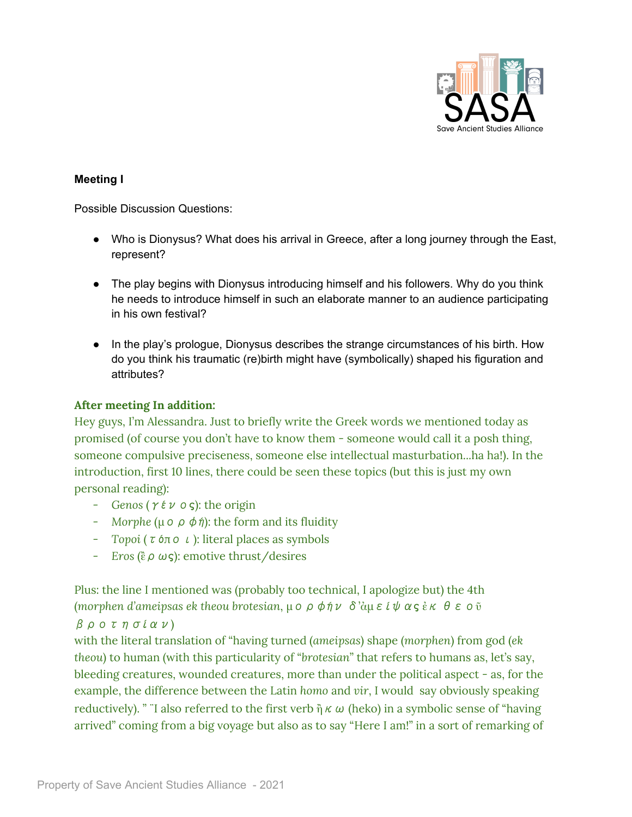

#### **Meeting I**

Possible Discussion Questions:

- Who is Dionysus? What does his arrival in Greece, after a long journey through the East, represent?
- The play begins with Dionysus introducing himself and his followers. Why do you think he needs to introduce himself in such an elaborate manner to an audience participating in his own festival?
- In the play's prologue, Dionysus describes the strange circumstances of his birth. How do you think his traumatic (re)birth might have (symbolically) shaped his figuration and attributes?

#### **After meeting In addition:**

Hey guys, I'm Alessandra. Just to briefly write the Greek words we mentioned today as promised (of course you don't have to know them - someone would call it a posh thing, someone compulsive preciseness, someone else intellectual masturbation...ha ha!). In the introduction, first 10 lines, there could be seen these topics (but this is just my own personal reading):

- *Genos* (γένος): the origin
- *Morphe* (μορφή): the form and its fluidity
- *Topoi* (τόποι): literal places as symbols
- *Eros* (ἒρως): emotive thrust/desires

Plus: the line I mentioned was (probably too technical, I apologize but) the 4th (*morphen d'ameipsas ek theou brotesian*, μορφήν δ'ἀμείψας ἐκ θεοῦ

### βροτησίαν)

with the literal translation of "having turned (*ameipsas*) shape (*morphen*) from god (*ek theou*) to human (with this particularity of "*brotesian*" that refers to humans as, let's say, bleeding creatures, wounded creatures, more than under the political aspect - as, for the example, the difference between the Latin *homo* and *vir*, I would say obviously speaking reductively). " I also referred to the first verb  $\mathring{\eta} \kappa \omega$  (heko) in a symbolic sense of "having arrived" coming from a big voyage but also as to say "Here I am!" in a sort of remarking of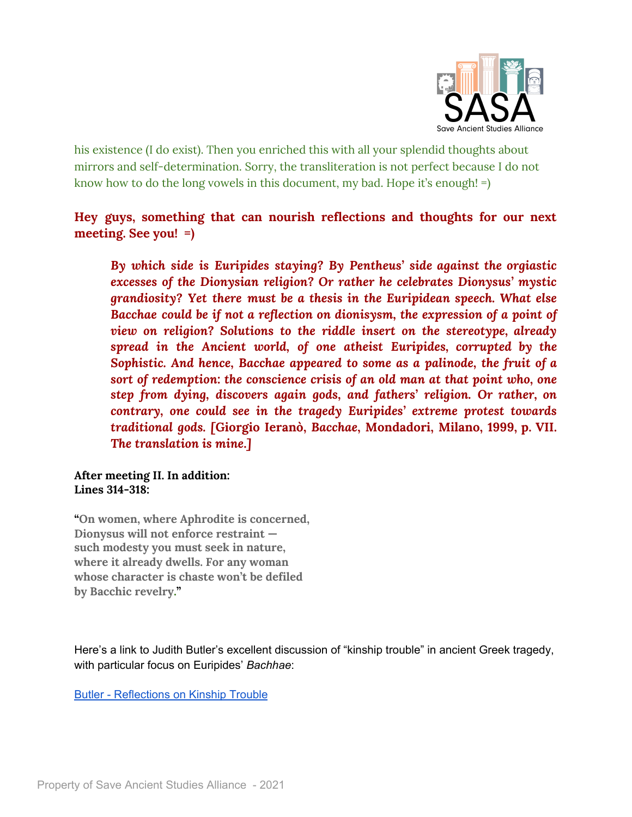

his existence (I do exist). Then you enriched this with all your splendid thoughts about mirrors and self-determination. Sorry, the transliteration is not perfect because I do not know how to do the long vowels in this document, my bad. Hope it's enough! =)

## **Hey guys, something that can nourish reflections and thoughts for our next meeting. See you! =)**

*By which side is Euripides staying? By Pentheus' side against the orgiastic excesses of the Dionysian religion? Or rather he celebrates Dionysus' mystic grandiosity? Yet there must be a thesis in the Euripidean speech. What else Bacchae could be if not a reflection on dionisysm, the expression of a point of view on religion? Solutions to the riddle insert on the stereotype, already spread in the Ancient world, of one atheist Euripides, corrupted by the Sophistic. And hence, Bacchae appeared to some as a palinode, the fruit of a sort of redemption: the conscience crisis of an old man at that point who, one step from dying, discovers again gods, and fathers' religion. Or rather, on contrary, one could see in the tragedy Euripides' extreme protest towards traditional gods. [***Giorgio Ieranò,** *Bacchae***, Mondadori, Milano, 1999, p. VII.** *The translation is mine***.***]*

#### **After meeting II. In addition: Lines 314-318:**

**"On women, where Aphrodite is concerned, Dionysus will not enforce restraint such modesty you must seek in nature, where it already dwells. For any woman whose character is chaste won't be defiled by Bacchic revelry."**

Here's a link to Judith Butler's excellent discussion of "kinship trouble" in ancient Greek tragedy, with particular focus on Euripides' *Bachhae*:

Butler - [Reflections](https://www.ucl.ac.uk/classics/sites/classics/files/housman_butler_2017.pdf) on Kinship Trouble